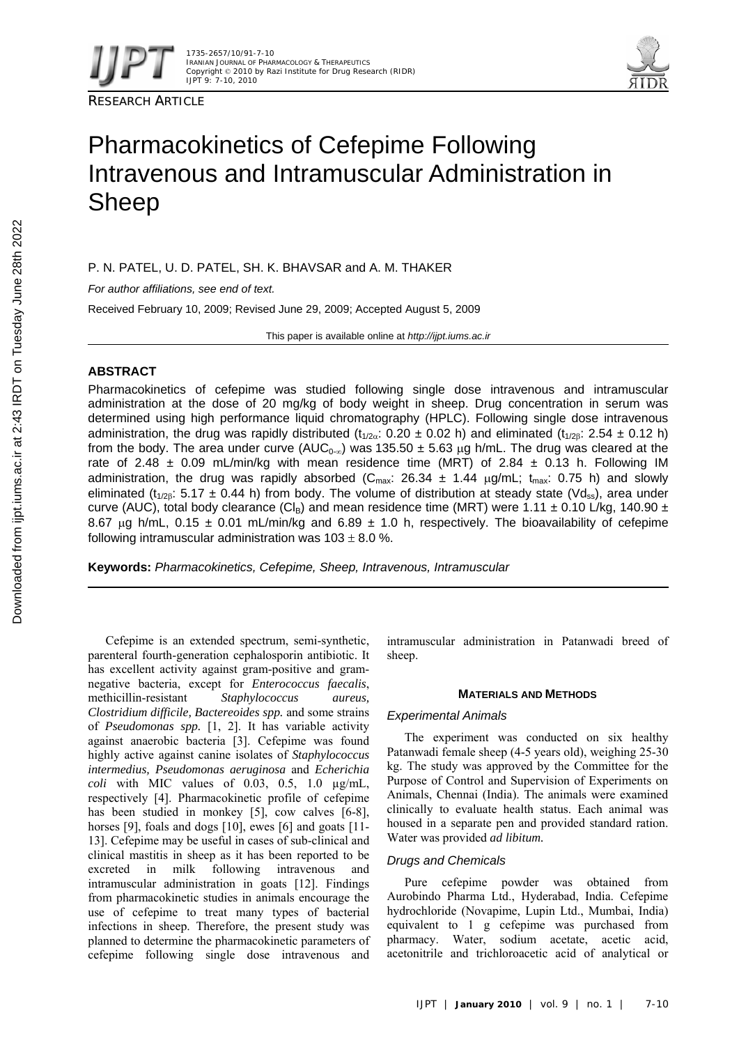

RESEARCH ARTICLE



# Pharmacokinetics of Cefepime Following Intravenous and Intramuscular Administration in Sheep

P. N. PATEL, U. D. PATEL, SH. K. BHAVSAR and A. M. THAKER

*For author affiliations, see end of text.* 

Received February 10, 2009; Revised June 29, 2009; Accepted August 5, 2009

This paper is available online at *http://ijpt.iums.ac.ir*

# **ABSTRACT**

Pharmacokinetics of cefepime was studied following single dose intravenous and intramuscular administration at the dose of 20 mg/kg of body weight in sheep. Drug concentration in serum was determined using high performance liquid chromatography (HPLC). Following single dose intravenous administration, the drug was rapidly distributed (t<sub>1/2α</sub>: 0.20 ± 0.02 h) and eliminated (t<sub>1/2β</sub>: 2.54 ± 0.12 h) from the body. The area under curve (AUC<sub>0-∞</sub>) was 135.50 ± 5.63 µg h/mL. The drug was cleared at the rate of 2.48  $\pm$  0.09 mL/min/kg with mean residence time (MRT) of 2.84  $\pm$  0.13 h. Following IM administration, the drug was rapidly absorbed ( $C_{\text{max}}$ : 26.34  $\pm$  1.44  $\mu$ g/mL; t<sub>max</sub>: 0.75 h) and slowly eliminated (t<sub>1/2β</sub>: 5.17 ± 0.44 h) from body. The volume of distribution at steady state (Vd<sub>ss</sub>), area under curve (AUC), total body clearance (Cl<sub>B</sub>) and mean residence time (MRT) were 1.11  $\pm$  0.10 L/kg, 140.90  $\pm$ 8.67 μg h/mL,  $0.15 \pm 0.01$  mL/min/kg and 6.89  $\pm$  1.0 h, respectively. The bioavailability of cefepime following intramuscular administration was  $103 \pm 8.0$  %.

**Keywords:** *Pharmacokinetics, Cefepime, Sheep, Intravenous, Intramuscular* 

Cefepime is an extended spectrum, semi-synthetic, parenteral fourth-generation cephalosporin antibiotic. It has excellent activity against gram-positive and gramnegative bacteria, except for *Enterococcus faecalis*, methicillin-resistant *Staphylococcus aureus, Clostridium difficile, Bactereoides spp.* and some strains of *Pseudomonas spp.* [1, 2]. It has variable activity against anaerobic bacteria [3]. Cefepime was found highly active against canine isolates of *Staphylococcus intermedius, Pseudomonas aeruginosa* and *Echerichia coli* with MIC values of  $0.03$ ,  $0.5$ ,  $1.0 \mu g/mL$ , respectively [ 4]. Pharmacokinetic profile of cefepime has been studied in monkey [5], cow calves [6-8], horses  $[9]$ , foals and dogs  $[10]$ , ewes  $[6]$  and goats  $[11-$  13]. Cefepime may be useful in cases of sub-clinical and clinical mastitis in sheep as it has been reported to be excreted in milk following intravenous and intramuscular administration in goats [12]. Findings from pharmacokinetic studies in animals encourage the use of cefepime to treat many types of bacterial infections in sheep. Therefore, the present study was planned to determine the pharmacokinetic parameters of cefepime following single dose intravenous and

intramuscular administration in Patanwadi breed of sheep.

## **MATERIALS AND METHODS**

# *Experimental Animals*

The experiment was conducted on six healthy Patanwadi female sheep (4-5 years old), weighing 25-30 kg. The study was approved by the Committee for the Purpose of Control and Supervision of Experiments on Animals, Chennai (India). The animals were examined clinically to evaluate health status. Each animal was housed in a separate pen and provided standard ration. Water was provided *ad libitum.* 

# *Drugs and Chemicals*

Pure cefepime powder was obtained from Aurobindo Pharma Ltd., Hyderabad, India. Cefepime hydrochloride (Novapime, Lupin Ltd., Mumbai, India) equivalent to 1 g cefepime was purchased from pharmacy. Water, sodium acetate, acetic acid, acetonitrile and trichloroacetic acid of analytical or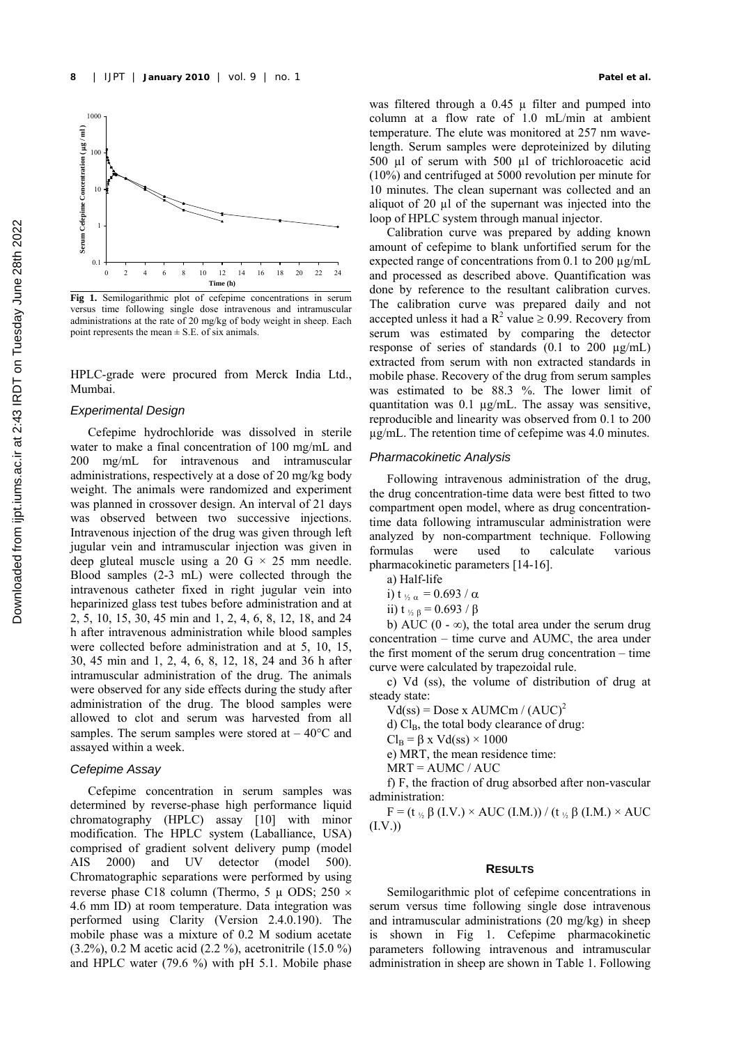

**Fig 1.** Semilogarithmic plot of cefepime concentrations in serum versus time following single dose intravenous and intramuscular administrations at the rate of 20 mg/kg of body weight in sheep. Each point represents the mean  $\pm$  S.E. of six animals.

HPLC-grade were procured from Merck India Ltd., Mumbai.

### *Experimental Design*

Cefepime hydrochloride was dissolved in sterile water to make a final concentration of 100 mg/mL and 200 mg/mL for intravenous and intramuscular administrations, respectively at a dose of 20 mg/kg body weight. The animals were randomized and experiment was planned in crossover design. An interval of 21 days was observed between two successive injections. Intravenous injection of the drug was given through left jugular vein and intramuscular injection was given in deep gluteal muscle using a 20 G  $\times$  25 mm needle. Blood samples (2-3 mL) were collected through the intravenous catheter fixed in right jugular vein into heparinized glass test tubes before administration and at 2, 5, 10, 15, 30, 45 min and 1, 2, 4, 6, 8, 12, 18, and 24 h after intravenous administration while blood samples were collected before administration and at 5, 10, 15, 30, 45 min and 1, 2, 4, 6, 8, 12, 18, 24 and 36 h after intramuscular administration of the drug. The animals were observed for any side effects during the study after administration of the drug. The blood samples were allowed to clot and serum was harvested from all samples. The serum samples were stored at  $-40^{\circ}$ C and assayed within a week.

# *Cefepime Assay*

Cefepime concentration in serum samples was determined by reverse-phase high performance liquid chromatography (HPLC) assay [10] with minor modification. The HPLC system (Laballiance, USA) comprised of gradient solvent delivery pump (model AIS 2000) and UV detector (model 500). Chromatographic separations were performed by using reverse phase C18 column (Thermo, 5  $\mu$  ODS; 250  $\times$ 4.6 mm ID) at room temperature. Data integration was performed using Clarity (Version 2.4.0.190). The mobile phase was a mixture of 0.2 M sodium acetate (3.2%), 0.2 M acetic acid (2.2 %), acetronitrile (15.0 %) and HPLC water (79.6 %) with pH 5.1. Mobile phase

was filtered through a 0.45 u filter and pumped into column at a flow rate of 1.0 mL/min at ambient temperature. The elute was monitored at 257 nm wavelength. Serum samples were deproteinized by diluting 500 µl of serum with 500 µl of trichloroacetic acid (10%) and centrifuged at 5000 revolution per minute for 10 minutes. The clean supernant was collected and an aliquot of 20 µl of the supernant was injected into the loop of HPLC system through manual injector.

Calibration curve was prepared by adding known amount of cefepime to blank unfortified serum for the expected range of concentrations from 0.1 to 200 µg/mL and processed as described above. Quantification was done by reference to the resultant calibration curves. The calibration curve was prepared daily and not accepted unless it had a  $R^2$  value  $\geq$  0.99. Recovery from serum was estimated by comparing the detector response of series of standards  $(0.1 \text{ to } 200 \text{ µg/mL})$ extracted from serum with non extracted standards in mobile phase. Recovery of the drug from serum samples was estimated to be 88.3 %. The lower limit of quantitation was 0.1 µg/mL. The assay was sensitive, reproducible and linearity was observed from 0.1 to 200 µg/mL. The retention time of cefepime was 4.0 minutes.

## *Pharmacokinetic Analysis*

Following intravenous administration of the drug, the drug concentration-time data were best fitted to two compartment open model, where as drug concentrationtime data following intramuscular administration were analyzed by non-compartment technique. Following formulas were used to calculate various pharmacokinetic parameters [14-16].

a) Half-life

i) t  $v_{2\alpha} = 0.693 / \alpha$ 

ii) t  $v_{6B} = 0.693 / \beta$ 

b) AUC (0 -  $\infty$ ), the total area under the serum drug concentration – time curve and AUMC, the area under the first moment of the serum drug concentration – time curve were calculated by trapezoidal rule.

c) Vd (ss), the volume of distribution of drug at steady state:

 $Vd(ss) = Does x AUMCm / (AUC)^2$ 

d) Cl<sub>B</sub>, the total body clearance of drug:

 $Cl_B = \beta x \text{ Vd}(ss) \times 1000$ 

e) MRT, the mean residence time:

 $MRT = AUMC / AUC$ 

f) F, the fraction of drug absorbed after non-vascular administration:

 $F = (t \circ \beta (I.V.) \times AUC (I.M.)) / (t \circ \beta (I.M.) \times AUC)$  $(I.V.)$ 

#### **RESULTS**

Semilogarithmic plot of cefepime concentrations in serum versus time following single dose intravenous and intramuscular administrations (20 mg/kg) in sheep is shown in Fig 1. Cefepime pharmacokinetic parameters following intravenous and intramuscular administration in sheep are shown in Table 1. Following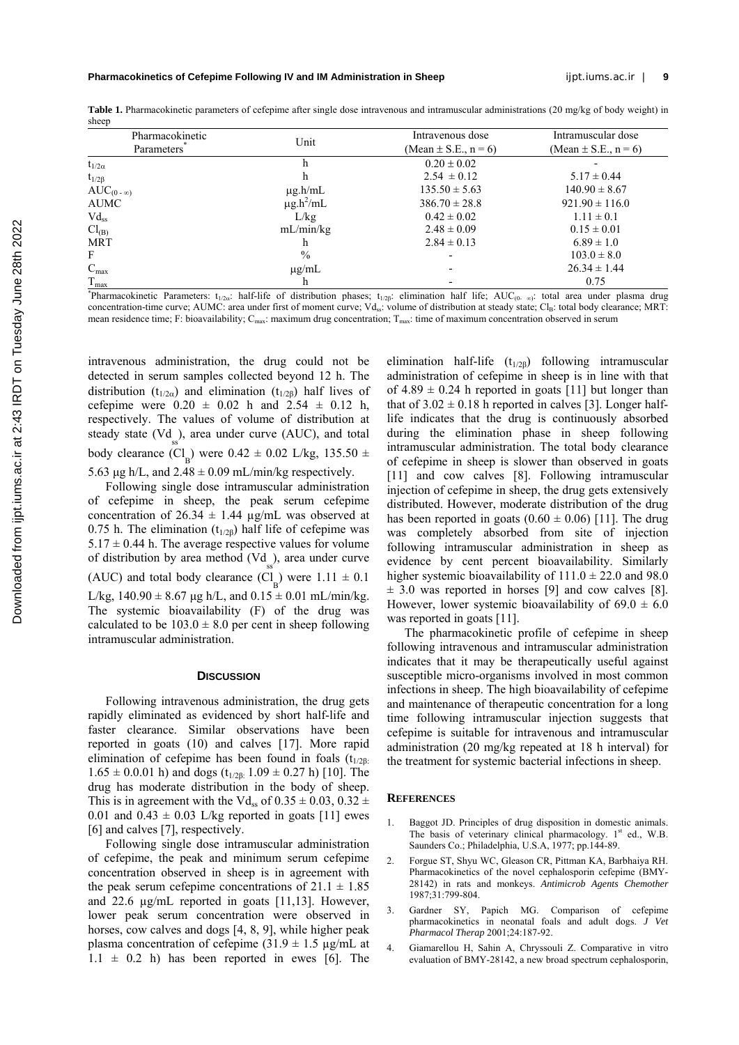Table 1. Pharmacokinetic parameters of cefepime after single dose intravenous and intramuscular administrations (20 mg/kg of body weight) in sheep

| $\sqrt{2}$                                 |                                                                                                                                                                                      |                          |                          |
|--------------------------------------------|--------------------------------------------------------------------------------------------------------------------------------------------------------------------------------------|--------------------------|--------------------------|
| Pharmacokinetic<br>Parameters <sup>7</sup> | Unit                                                                                                                                                                                 | Intravenous dose         | Intramuscular dose       |
|                                            |                                                                                                                                                                                      | (Mean $\pm$ S.E., n = 6) | (Mean $\pm$ S.E., n = 6) |
| $t_{1/2\alpha}$                            |                                                                                                                                                                                      | $0.20 \pm 0.02$          |                          |
| $t_{1/2\beta}$                             |                                                                                                                                                                                      | $2.54 \pm 0.12$          | $5.17 \pm 0.44$          |
| $AUC_{(0-\infty)}$                         | $\mu$ g.h/mL                                                                                                                                                                         | $135.50 \pm 5.63$        | $140.90 \pm 8.67$        |
| AUMC                                       | $\mu$ g.h <sup>2</sup> /mL                                                                                                                                                           | $386.70 \pm 28.8$        | $921.90 \pm 116.0$       |
| $Vd_{ss}$                                  | L/kg                                                                                                                                                                                 | $0.42 \pm 0.02$          | $1.11 \pm 0.1$           |
| $Cl_{(B)}$                                 | mL/min/kg                                                                                                                                                                            | $2.48 \pm 0.09$          | $0.15 \pm 0.01$          |
| <b>MRT</b>                                 |                                                                                                                                                                                      | $2.84 \pm 0.13$          | $6.89 \pm 1.0$           |
| F                                          | $\%$                                                                                                                                                                                 |                          | $103.0 \pm 8.0$          |
| $C_{max}$                                  | $\mu$ g/mL                                                                                                                                                                           |                          | $26.34 \pm 1.44$         |
| $T_{\text{max}}$                           |                                                                                                                                                                                      |                          | 0.75                     |
|                                            | Pharmacokinetic Parameters: $t_{1/2\alpha}$ : half-life of distribution phases; $t_{1/2\beta}$ : elimination half life; AUC <sub>(0</sub> , $\infty$ ): total area under plasma drug |                          |                          |

concentration-time curve; AUMC: area under first of moment curve; Vd<sub>ss</sub>: volume of distribution at steady state; Cl<sub>B</sub>: total body clearance; MRT: mean residence time; F: bioavailability;  $C_{\text{max}}$ : maximum drug concentration;  $T_{\text{max}}$ : time of maximum concentration observed in serum

intravenous administration, the drug could not be detected in serum samples collected beyond 12 h. The distribution ( $t_{1/2\alpha}$ ) and elimination ( $t_{1/2\beta}$ ) half lives of cefepime were  $0.20 \pm 0.02$  h and  $2.54 \pm 0.12$  h, respectively. The values of volume of distribution at steady state  $(Vd<sub>ss</sub>)$ , area under curve (AUC), and total body clearance  $(Cl_B)$  were  $0.42 \pm 0.02$  L/kg,  $135.50 \pm 0.02$ 

5.63 μg h/L, and  $2.48 \pm 0.09$  mL/min/kg respectively.

Following single dose intramuscular administration of cefepime in sheep, the peak serum cefepime concentration of  $26.34 \pm 1.44$  µg/mL was observed at 0.75 h. The elimination ( $t_{1/2\beta}$ ) half life of cefepime was  $5.17 \pm 0.44$  h. The average respective values for volume of distribution by area method  $(Vd<sub>ss</sub>)$ , area under curve (AUC) and total body clearance  $(Cl_B)$  were  $1.11 \pm 0.1$ L/kg,  $140.90 \pm 8.67$  µg h/L, and  $0.15 \pm 0.01$  mL/min/kg. The systemic bioavailability (F) of the drug was calculated to be  $103.0 \pm 8.0$  per cent in sheep following intramuscular administration.

#### **DISCUSSION**

Following intravenous administration, the drug gets rapidly eliminated as evidenced by short half-life and faster clearance. Similar observations have been reported in goats (10) and calves [17]. More rapid elimination of cefepime has been found in foals  $(t_{1/2B})$  $1.65 \pm 0.001$  h) and dogs  $(t_{1/2\beta}: 1.09 \pm 0.27$  h) [10]. The drug has moderate distribution in the body of sheep. This is in agreement with the Vd<sub>ss</sub> of  $0.35 \pm 0.03$ ,  $0.32 \pm 0.03$ 0.01 and  $0.43 \pm 0.03$  L/kg reported in goats [11] ewes [6] and calves [7], respectively.

Following single dose intramuscular administration of cefepime, the peak and minimum serum cefepime concentration observed in sheep is in agreement with the peak serum cefepime concentrations of  $21.1 \pm 1.85$ and 22.6  $\mu$ g/mL reported in goats [11,13]. However, lower peak serum concentration were observed in horses, cow calves and dogs [4, 8, 9], while higher peak plasma concentration of cefepime (31.9  $\pm$  1.5 µg/mL at  $1.1 \pm 0.2$  h) has been reported in ewes [6]. The elimination half-life  $(t_{1/2\beta})$  following intramuscular administration of cefepime in sheep is in line with that of  $4.89 \pm 0.24$  h reported in goats [11] but longer than that of  $3.02 \pm 0.18$  h reported in calves [3]. Longer halflife indicates that the drug is continuously absorbed during the elimination phase in sheep following intramuscular administration. The total body clearance of cefepime in sheep is slower than observed in goats [11] and cow calves [8]. Following intramuscular injection of cefepime in sheep, the drug gets extensively distributed. However, moderate distribution of the drug has been reported in goats  $(0.60 \pm 0.06)$  [11]. The drug was completely absorbed from site of injection following intramuscular administration in sheep as evidence by cent percent bioavailability. Similarly higher systemic bioavailability of  $111.0 \pm 22.0$  and 98.0  $\pm$  3.0 was reported in horses [9] and cow calves [8]. However, lower systemic bioavailability of  $69.0 \pm 6.0$ was reported in goats [11].

The pharmacokinetic profile of cefepime in sheep following intravenous and intramuscular administration indicates that it may be therapeutically useful against susceptible micro-organisms involved in most common infections in sheep. The high bioavailability of cefepime and maintenance of therapeutic concentration for a long time following intramuscular injection suggests that cefepime is suitable for intravenous and intramuscular administration (20 mg/kg repeated at 18 h interval) for the treatment for systemic bacterial infections in sheep.

## **REFERENCES**

- 1. Baggot JD. Principles of drug disposition in domestic animals. The basis of veterinary clinical pharmacology. 1st ed., W.B. Saunders Co.; Philadelphia, U.S.A, 1977; pp.144-89.
- 2. Forgue ST, Shyu WC, Gleason CR, Pittman KA, Barbhaiya RH. Pharmacokinetics of the novel cephalosporin cefepime (BMY-28142) in rats and monkeys. *Antimicrob Agents Chemother* 1987;31:799-804.
- 3. Gardner SY, Papich MG. Comparison of cefepime pharmacokinetics in neonatal foals and adult dogs. *J Vet Pharmacol Therap* 2001;24:187-92.
- 4. Giamarellou H, Sahin A, Chryssouli Z. Comparative in vitro evaluation of BMY-28142, a new broad spectrum cephalosporin,